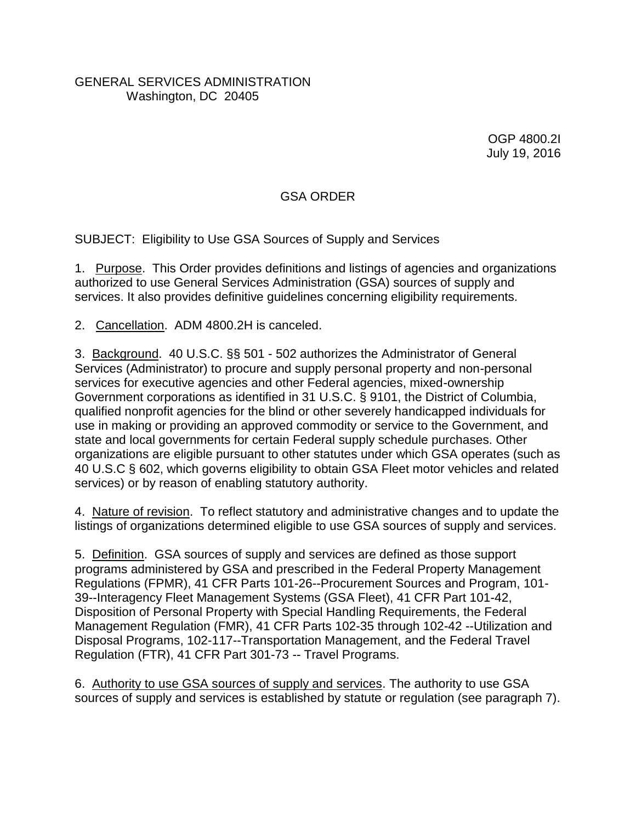## GENERAL SERVICES ADMINISTRATION Washington, DC 20405

OGP 4800.2I July 19, 2016

## GSA ORDER

SUBJECT: Eligibility to Use GSA Sources of Supply and Services

1. Purpose. This Order provides definitions and listings of agencies and organizations authorized to use General Services Administration (GSA) sources of supply and services. It also provides definitive guidelines concerning eligibility requirements.

2. Cancellation.ADM 4800.2H is canceled.

3. Background. 40 U.S.C. §§ 501 - 502 authorizes the Administrator of General Services (Administrator) to procure and supply personal property and non-personal services for executive agencies and other Federal agencies, mixed-ownership Government corporations as identified in 31 U.S.C. § 9101, the District of Columbia, qualified nonprofit agencies for the blind or other severely handicapped individuals for use in making or providing an approved commodity or service to the Government, and state and local governments for certain Federal supply schedule purchases. Other organizations are eligible pursuant to other statutes under which GSA operates (such as 40 U.S.C § 602, which governs eligibility to obtain GSA Fleet motor vehicles and related services) or by reason of enabling statutory authority.

4. Nature of revision. To reflect statutory and administrative changes and to update the listings of organizations determined eligible to use GSA sources of supply and services.

5. Definition. GSA sources of supply and services are defined as those support programs administered by GSA and prescribed in the Federal Property Management Regulations (FPMR), 41 CFR Parts 101-26--Procurement Sources and Program, 101- 39--Interagency Fleet Management Systems (GSA Fleet), 41 CFR Part 101-42, Disposition of Personal Property with Special Handling Requirements, the Federal Management Regulation (FMR), 41 CFR Parts 102-35 through 102-42 --Utilization and Disposal Programs, 102-117--Transportation Management, and the Federal Travel Regulation (FTR), 41 CFR Part 301-73 -- Travel Programs.

6. Authority to use GSA sources of supply and services. The authority to use GSA sources of supply and services is established by statute or regulation (see paragraph 7).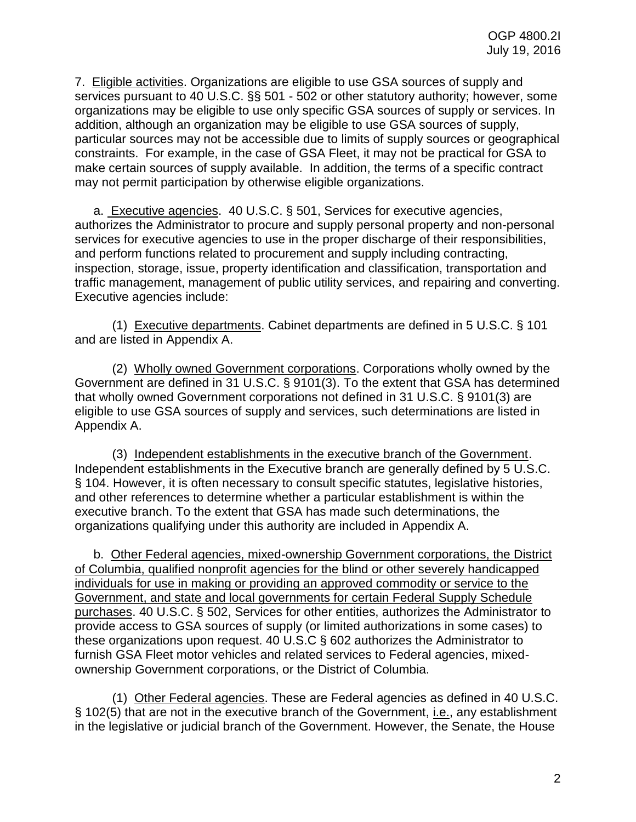7. Eligible activities. Organizations are eligible to use GSA sources of supply and services pursuant to 40 U.S.C. §§ 501 - 502 or other statutory authority; however, some organizations may be eligible to use only specific GSA sources of supply or services. In addition, although an organization may be eligible to use GSA sources of supply, particular sources may not be accessible due to limits of supply sources or geographical constraints. For example, in the case of GSA Fleet, it may not be practical for GSA to make certain sources of supply available. In addition, the terms of a specific contract may not permit participation by otherwise eligible organizations.

a. Executive agencies. 40 U.S.C. § 501, Services for executive agencies, authorizes the Administrator to procure and supply personal property and non-personal services for executive agencies to use in the proper discharge of their responsibilities, and perform functions related to procurement and supply including contracting, inspection, storage, issue, property identification and classification, transportation and traffic management, management of public utility services, and repairing and converting. Executive agencies include:

(1) Executive departments. Cabinet departments are defined in 5 U.S.C. § 101 and are listed in Appendix A.

(2) Wholly owned Government corporations. Corporations wholly owned by the Government are defined in 31 U.S.C. § 9101(3). To the extent that GSA has determined that wholly owned Government corporations not defined in 31 U.S.C. § 9101(3) are eligible to use GSA sources of supply and services, such determinations are listed in Appendix A.

(3) Independent establishments in the executive branch of the Government. Independent establishments in the Executive branch are generally defined by 5 U.S.C. § 104. However, it is often necessary to consult specific statutes, legislative histories, and other references to determine whether a particular establishment is within the executive branch. To the extent that GSA has made such determinations, the organizations qualifying under this authority are included in Appendix A.

b. Other Federal agencies, mixed-ownership Government corporations, the District of Columbia, qualified nonprofit agencies for the blind or other severely handicapped individuals for use in making or providing an approved commodity or service to the Government, and state and local governments for certain Federal Supply Schedule purchases. 40 U.S.C. § 502, Services for other entities, authorizes the Administrator to provide access to GSA sources of supply (or limited authorizations in some cases) to these organizations upon request. 40 U.S.C § 602 authorizes the Administrator to furnish GSA Fleet motor vehicles and related services to Federal agencies, mixedownership Government corporations, or the District of Columbia.

(1) Other Federal agencies. These are Federal agencies as defined in 40 U.S.C. § 102(5) that are not in the executive branch of the Government, i.e., any establishment in the legislative or judicial branch of the Government. However, the Senate, the House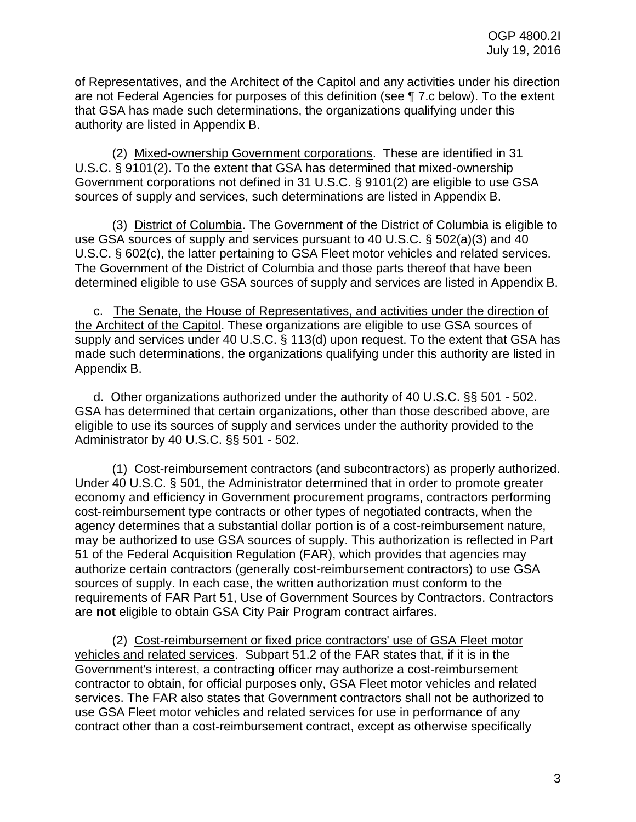of Representatives, and the Architect of the Capitol and any activities under his direction are not Federal Agencies for purposes of this definition (see ¶ 7.c below). To the extent that GSA has made such determinations, the organizations qualifying under this authority are listed in Appendix B.

(2) Mixed-ownership Government corporations. These are identified in 31 U.S.C. § 9101(2). To the extent that GSA has determined that mixed-ownership Government corporations not defined in 31 U.S.C. § 9101(2) are eligible to use GSA sources of supply and services, such determinations are listed in Appendix B.

(3) District of Columbia. The Government of the District of Columbia is eligible to use GSA sources of supply and services pursuant to 40 U.S.C. § 502(a)(3) and 40 U.S.C. § 602(c), the latter pertaining to GSA Fleet motor vehicles and related services. The Government of the District of Columbia and those parts thereof that have been determined eligible to use GSA sources of supply and services are listed in Appendix B.

c. The Senate, the House of Representatives, and activities under the direction of the Architect of the Capitol. These organizations are eligible to use GSA sources of supply and services under 40 U.S.C. § 113(d) upon request. To the extent that GSA has made such determinations, the organizations qualifying under this authority are listed in Appendix B.

d. Other organizations authorized under the authority of 40 U.S.C. §§ 501 - 502. GSA has determined that certain organizations, other than those described above, are eligible to use its sources of supply and services under the authority provided to the Administrator by 40 U.S.C. §§ 501 - 502.

(1) Cost-reimbursement contractors (and subcontractors) as properly authorized. Under 40 U.S.C. § 501, the Administrator determined that in order to promote greater economy and efficiency in Government procurement programs, contractors performing cost-reimbursement type contracts or other types of negotiated contracts, when the agency determines that a substantial dollar portion is of a cost-reimbursement nature, may be authorized to use GSA sources of supply. This authorization is reflected in Part 51 of the Federal Acquisition Regulation (FAR), which provides that agencies may authorize certain contractors (generally cost-reimbursement contractors) to use GSA sources of supply. In each case, the written authorization must conform to the requirements of FAR Part 51, Use of Government Sources by Contractors. Contractors are **not** eligible to obtain GSA City Pair Program contract airfares.

(2) Cost-reimbursement or fixed price contractors' use of GSA Fleet motor vehicles and related services. Subpart 51.2 of the FAR states that, if it is in the Government's interest, a contracting officer may authorize a cost-reimbursement contractor to obtain, for official purposes only, GSA Fleet motor vehicles and related services. The FAR also states that Government contractors shall not be authorized to use GSA Fleet motor vehicles and related services for use in performance of any contract other than a cost-reimbursement contract, except as otherwise specifically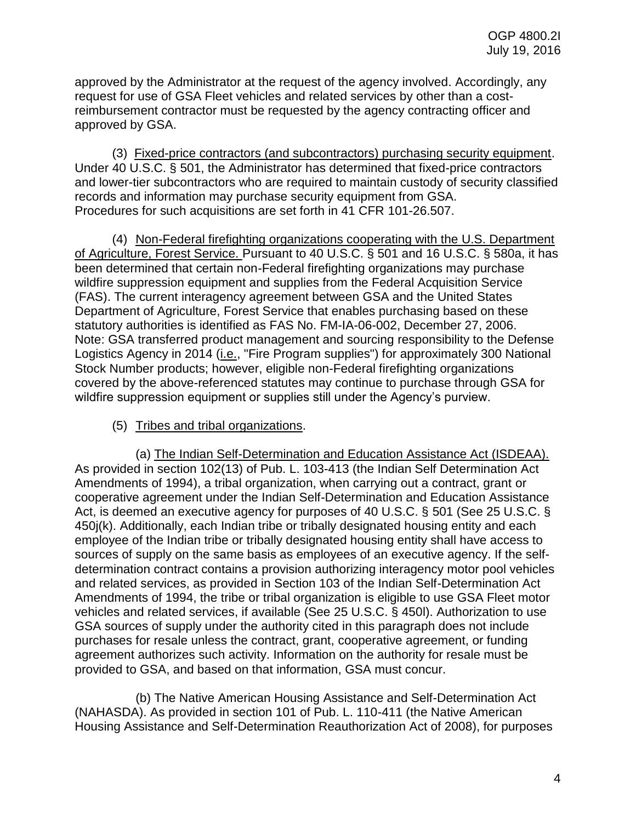approved by the Administrator at the request of the agency involved. Accordingly, any request for use of GSA Fleet vehicles and related services by other than a costreimbursement contractor must be requested by the agency contracting officer and approved by GSA.

(3) Fixed-price contractors (and subcontractors) purchasing security equipment. Under 40 U.S.C. § 501, the Administrator has determined that fixed-price contractors and lower-tier subcontractors who are required to maintain custody of security classified records and information may purchase security equipment from GSA. Procedures for such acquisitions are set forth in 41 CFR 101-26.507.

(4) Non-Federal firefighting organizations cooperating with the U.S. Department of Agriculture, Forest Service. Pursuant to 40 U.S.C. § 501 and 16 U.S.C. § 580a, it has been determined that certain non-Federal firefighting organizations may purchase wildfire suppression equipment and supplies from the Federal Acquisition Service (FAS). The current interagency agreement between GSA and the United States Department of Agriculture, Forest Service that enables purchasing based on these statutory authorities is identified as FAS No. FM-IA-06-002, December 27, 2006. Note: GSA transferred product management and sourcing responsibility to the Defense Logistics Agency in 2014 (i.e., "Fire Program supplies") for approximately 300 National Stock Number products; however, eligible non-Federal firefighting organizations covered by the above-referenced statutes may continue to purchase through GSA for wildfire suppression equipment or supplies still under the Agency's purview.

## (5) Tribes and tribal organizations.

(a) The Indian Self-Determination and Education Assistance Act (ISDEAA). As provided in section 102(13) of Pub. L. 103-413 (the Indian Self Determination Act Amendments of 1994), a tribal organization, when carrying out a contract, grant or cooperative agreement under the Indian Self-Determination and Education Assistance Act, is deemed an executive agency for purposes of 40 U.S.C. § 501 (See 25 U.S.C. § 450j(k). Additionally, each Indian tribe or tribally designated housing entity and each employee of the Indian tribe or tribally designated housing entity shall have access to sources of supply on the same basis as employees of an executive agency. If the selfdetermination contract contains a provision authorizing interagency motor pool vehicles and related services, as provided in Section 103 of the Indian Self-Determination Act Amendments of 1994, the tribe or tribal organization is eligible to use GSA Fleet motor vehicles and related services, if available (See 25 U.S.C. § 450l). Authorization to use GSA sources of supply under the authority cited in this paragraph does not include purchases for resale unless the contract, grant, cooperative agreement, or funding agreement authorizes such activity. Information on the authority for resale must be provided to GSA, and based on that information, GSA must concur.

(b) The Native American Housing Assistance and Self-Determination Act (NAHASDA). As provided in section 101 of Pub. L. 110-411 (the Native American Housing Assistance and Self-Determination Reauthorization Act of 2008), for purposes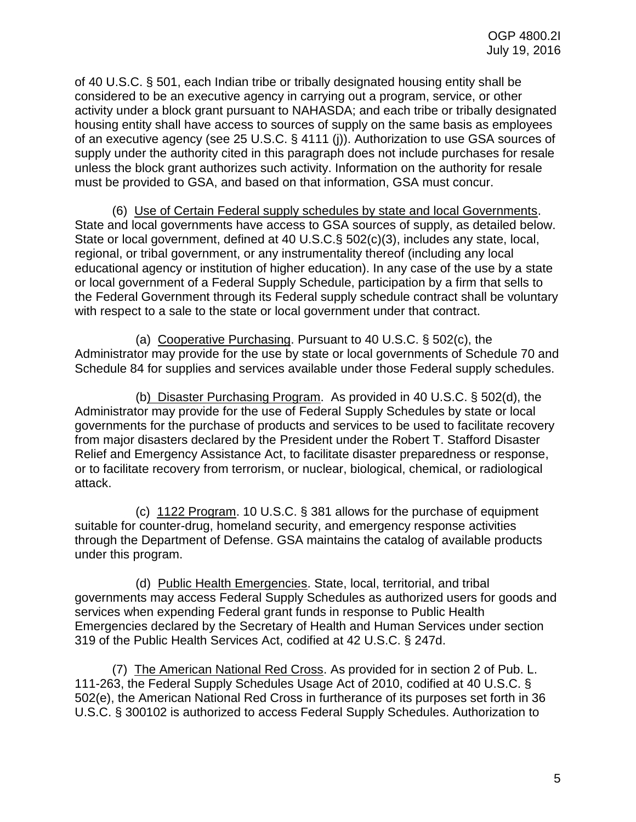of 40 U.S.C. § 501, each Indian tribe or tribally designated housing entity shall be considered to be an executive agency in carrying out a program, service, or other activity under a block grant pursuant to NAHASDA; and each tribe or tribally designated housing entity shall have access to sources of supply on the same basis as employees of an executive agency (see 25 U.S.C. § 4111 (j)). Authorization to use GSA sources of supply under the authority cited in this paragraph does not include purchases for resale unless the block grant authorizes such activity. Information on the authority for resale must be provided to GSA, and based on that information, GSA must concur.

(6) Use of Certain Federal supply schedules by state and local Governments. State and local governments have access to GSA sources of supply, as detailed below. State or local government, defined at 40 U.S.C.§ 502(c)(3), includes any state, local, regional, or tribal government, or any instrumentality thereof (including any local educational agency or institution of higher education). In any case of the use by a state or local government of a Federal Supply Schedule, participation by a firm that sells to the Federal Government through its Federal supply schedule contract shall be voluntary with respect to a sale to the state or local government under that contract.

(a) Cooperative Purchasing. Pursuant to 40 U.S.C. § 502(c), the Administrator may provide for the use by state or local governments of Schedule 70 and Schedule 84 for supplies and services available under those Federal supply schedules.

(b) Disaster Purchasing Program. As provided in 40 U.S.C. § 502(d), the Administrator may provide for the use of Federal Supply Schedules by state or local governments for the purchase of products and services to be used to facilitate recovery from major disasters declared by the President under the Robert T. Stafford Disaster Relief and Emergency Assistance Act, to facilitate disaster preparedness or response, or to facilitate recovery from terrorism, or nuclear, biological, chemical, or radiological attack.

(c) 1122 Program. 10 U.S.C. § 381 allows for the purchase of equipment suitable for counter-drug, homeland security, and emergency response activities through the Department of Defense. GSA maintains the catalog of available products under this program.

(d) Public Health Emergencies. State, local, territorial, and tribal governments may access Federal Supply Schedules as authorized users for goods and services when expending Federal grant funds in response to Public Health Emergencies declared by the Secretary of Health and Human Services under section 319 of the Public Health Services Act, codified at 42 U.S.C. § 247d.

(7) The American National Red Cross. As provided for in section 2 of Pub. L. 111-263, the Federal Supply Schedules Usage Act of 2010, codified at 40 U.S.C. § 502(e), the American National Red Cross in furtherance of its purposes set forth in 36 U.S.C. § 300102 is authorized to access Federal Supply Schedules. Authorization to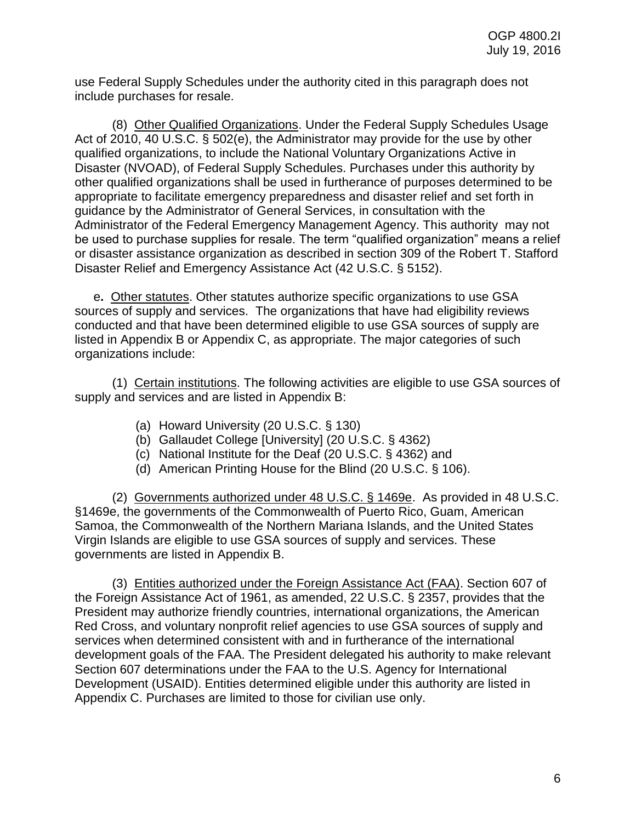use Federal Supply Schedules under the authority cited in this paragraph does not include purchases for resale.

(8) Other Qualified Organizations. Under the Federal Supply Schedules Usage Act of 2010, 40 U.S.C. § 502(e), the Administrator may provide for the use by other qualified organizations, to include the National Voluntary Organizations Active in Disaster (NVOAD), of Federal Supply Schedules. Purchases under this authority by other qualified organizations shall be used in furtherance of purposes determined to be appropriate to facilitate emergency preparedness and disaster relief and set forth in guidance by the Administrator of General Services, in consultation with the Administrator of the Federal Emergency Management Agency. This authority may not be used to purchase supplies for resale. The term "qualified organization" means a relief or disaster assistance organization as described in section 309 of the Robert T. Stafford Disaster Relief and Emergency Assistance Act (42 U.S.C. § 5152).

e**.** Other statutes. Other statutes authorize specific organizations to use GSA sources of supply and services. The organizations that have had eligibility reviews conducted and that have been determined eligible to use GSA sources of supply are listed in Appendix B or Appendix C, as appropriate. The major categories of such organizations include:

(1) Certain institutions. The following activities are eligible to use GSA sources of supply and services and are listed in Appendix B:

- (a) Howard University (20 U.S.C. § 130)
- (b) Gallaudet College [University] (20 U.S.C. § 4362)
- (c) National Institute for the Deaf (20 U.S.C. § 4362) and
- (d) American Printing House for the Blind (20 U.S.C. § 106).

(2) Governments authorized under 48 U.S.C. § 1469e.As provided in 48 U.S.C. §1469e, the governments of the Commonwealth of Puerto Rico, Guam, American Samoa, the Commonwealth of the Northern Mariana Islands, and the United States Virgin Islands are eligible to use GSA sources of supply and services. These governments are listed in Appendix B.

(3) Entities authorized under the Foreign Assistance Act (FAA). Section 607 of the Foreign Assistance Act of 1961, as amended, 22 U.S.C. § 2357, provides that the President may authorize friendly countries, international organizations, the American Red Cross, and voluntary nonprofit relief agencies to use GSA sources of supply and services when determined consistent with and in furtherance of the international development goals of the FAA. The President delegated his authority to make relevant Section 607 determinations under the FAA to the U.S. Agency for International Development (USAID). Entities determined eligible under this authority are listed in Appendix C. Purchases are limited to those for civilian use only.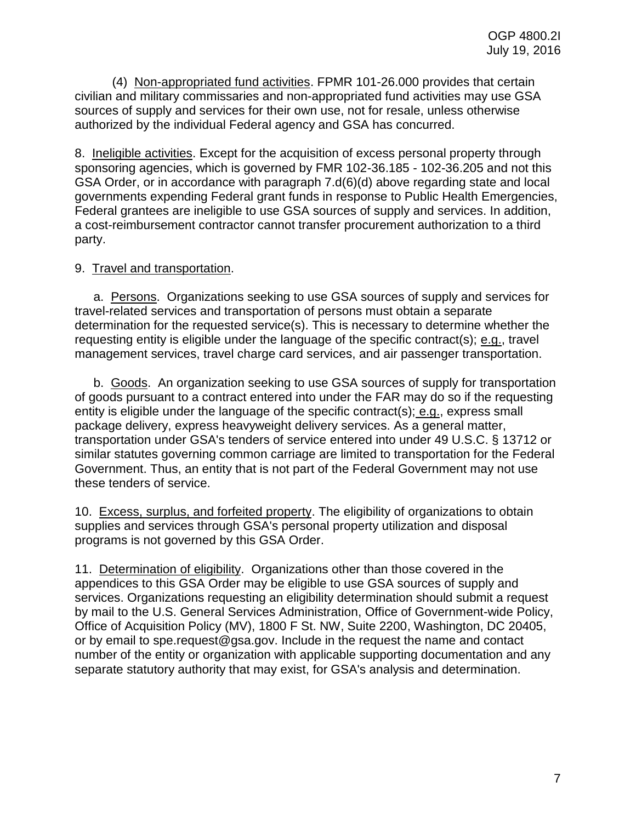(4) Non-appropriated fund activities. FPMR 101-26.000 provides that certain civilian and military commissaries and non-appropriated fund activities may use GSA sources of supply and services for their own use, not for resale, unless otherwise authorized by the individual Federal agency and GSA has concurred.

8. Ineligible activities. Except for the acquisition of excess personal property through sponsoring agencies, which is governed by FMR 102-36.185 - 102-36.205 and not this GSA Order, or in accordance with paragraph 7.d(6)(d) above regarding state and local governments expending Federal grant funds in response to Public Health Emergencies, Federal grantees are ineligible to use GSA sources of supply and services. In addition, a cost-reimbursement contractor cannot transfer procurement authorization to a third party.

## 9. Travel and transportation.

a. Persons. Organizations seeking to use GSA sources of supply and services for travel-related services and transportation of persons must obtain a separate determination for the requested service(s). This is necessary to determine whether the requesting entity is eligible under the language of the specific contract(s); e.g., travel management services, travel charge card services, and air passenger transportation.

b. Goods. An organization seeking to use GSA sources of supply for transportation of goods pursuant to a contract entered into under the FAR may do so if the requesting entity is eligible under the language of the specific contract(s); e.g., express small package delivery, express heavyweight delivery services. As a general matter, transportation under GSA's tenders of service entered into under 49 U.S.C. § 13712 or similar statutes governing common carriage are limited to transportation for the Federal Government. Thus, an entity that is not part of the Federal Government may not use these tenders of service.

10. Excess, surplus, and forfeited property. The eligibility of organizations to obtain supplies and services through GSA's personal property utilization and disposal programs is not governed by this GSA Order.

11. Determination of eligibility. Organizations other than those covered in the appendices to this GSA Order may be eligible to use GSA sources of supply and services. Organizations requesting an eligibility determination should submit a request by mail to the U.S. General Services Administration, Office of Government-wide Policy, Office of Acquisition Policy (MV), 1800 F St. NW, Suite 2200, Washington, DC 20405, or by email to spe.request@gsa.gov. Include in the request the name and contact number of the entity or organization with applicable supporting documentation and any separate statutory authority that may exist, for GSA's analysis and determination.